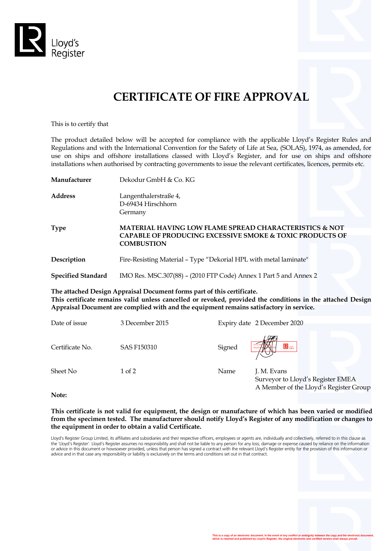

# **CERTIFICATE OF FIRE APPROVAL**

This is to certify that

The product detailed below will be accepted for compliance with the applicable Lloyd's Register Rules and Regulations and with the International Convention for the Safety of Life at Sea, (SOLAS), 1974, as amended, for use on ships and offshore installations classed with Lloyd's Register, and for use on ships and offshore installations when authorised by contracting governments to issue the relevant certificates, licences, permits etc.

| Manufacturer                                                                                                                                                                                                                                                                    | Dekodur GmbH & Co. KG                                             |                                                                                                                                          |  |  |  |
|---------------------------------------------------------------------------------------------------------------------------------------------------------------------------------------------------------------------------------------------------------------------------------|-------------------------------------------------------------------|------------------------------------------------------------------------------------------------------------------------------------------|--|--|--|
| Address                                                                                                                                                                                                                                                                         | Langenthalerstraße 4,<br>D-69434 Hirschhorn<br>Germany            |                                                                                                                                          |  |  |  |
| Type                                                                                                                                                                                                                                                                            | <b>COMBUSTION</b>                                                 | <b>MATERIAL HAVING LOW FLAME SPREAD CHARACTERISTICS &amp; NOT</b><br><b>CAPABLE OF PRODUCING EXCESSIVE SMOKE &amp; TOXIC PRODUCTS OF</b> |  |  |  |
| Description                                                                                                                                                                                                                                                                     | Fire-Resisting Material - Type "Dekorial HPL with metal laminate" |                                                                                                                                          |  |  |  |
| <b>Specified Standard</b>                                                                                                                                                                                                                                                       | IMO Res. MSC.307(88) - (2010 FTP Code) Annex 1 Part 5 and Annex 2 |                                                                                                                                          |  |  |  |
| The attached Design Appraisal Document forms part of this certificate.<br>This certificate remains valid unless cancelled or revoked, provided the conditions in the attached Design<br>Appraisal Document are complied with and the equipment remains satisfactory in service. |                                                                   |                                                                                                                                          |  |  |  |
| Date of issue                                                                                                                                                                                                                                                                   | 3 December 2015                                                   | Expiry date 2 December 2020                                                                                                              |  |  |  |
| Certificate No.                                                                                                                                                                                                                                                                 | <b>SAS F150310</b>                                                | $\mathbf{R}$ users.<br>Signed                                                                                                            |  |  |  |

Sheet No  $1$  of 2 Name J. M. Evans Surveyor to Lloyd's Register EMEA A Member of the Lloyd's Register Group

**Note:**

**This certificate is not valid for equipment, the design or manufacture of which has been varied or modified from the specimen tested. The manufacturer should notify Lloyd's Register of any modification or changes to the equipment in order to obtain a valid Certificate.**

Lloyd's Register Group Limited, its affiliates and subsidiaries and their respective officers, employees or agents are, individually and collectively, referred to in this clause as the 'Lloyd's Register'. Lloyd's Register assumes no responsibility and shall not be liable to any person for any loss, damage or expense caused by reliance on the information or advice in this document or howsoever provided, unless that person has signed a contract with the relevant Lloyd's Register entity for the provision of this information or advice and in that case any responsibility or liability is exclusively on the terms and conditions set out in that contract.